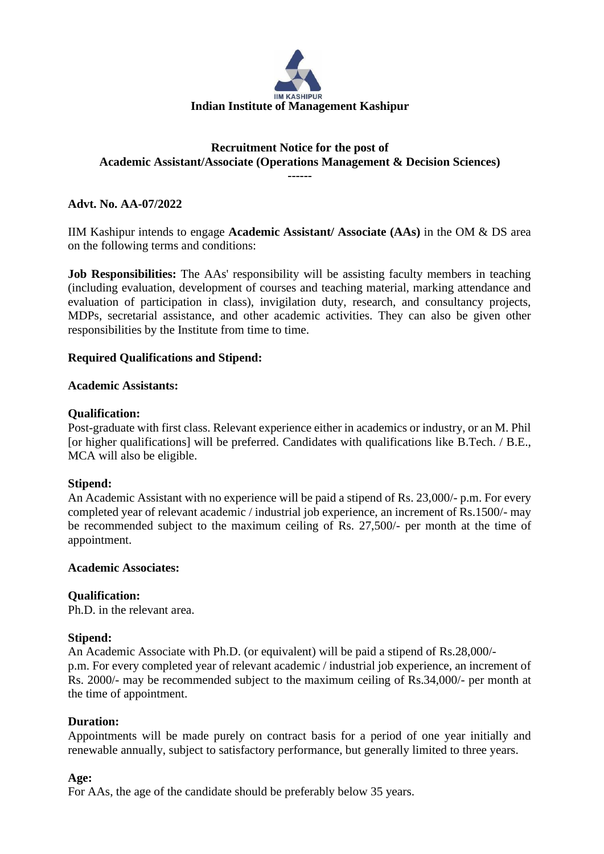

# **Recruitment Notice for the post of Academic Assistant/Associate (Operations Management & Decision Sciences)**

**------**

# **Advt. No. AA-07/2022**

IIM Kashipur intends to engage **Academic Assistant/ Associate (AAs)** in the OM & DS area on the following terms and conditions:

**Job Responsibilities:** The AAs' responsibility will be assisting faculty members in teaching (including evaluation, development of courses and teaching material, marking attendance and evaluation of participation in class), invigilation duty, research, and consultancy projects, MDPs, secretarial assistance, and other academic activities. They can also be given other responsibilities by the Institute from time to time.

# **Required Qualifications and Stipend:**

## **Academic Assistants:**

## **Qualification:**

Post-graduate with first class. Relevant experience either in academics or industry, or an M. Phil [or higher qualifications] will be preferred. Candidates with qualifications like B.Tech. / B.E., MCA will also be eligible.

## **Stipend:**

An Academic Assistant with no experience will be paid a stipend of Rs. 23,000/- p.m. For every completed year of relevant academic / industrial job experience, an increment of Rs.1500/- may be recommended subject to the maximum ceiling of Rs. 27,500/- per month at the time of appointment.

## **Academic Associates:**

# **Qualification:**

Ph.D. in the relevant area.

## **Stipend:**

An Academic Associate with Ph.D. (or equivalent) will be paid a stipend of Rs.28,000/ p.m. For every completed year of relevant academic / industrial job experience, an increment of Rs. 2000/- may be recommended subject to the maximum ceiling of Rs.34,000/- per month at the time of appointment.

## **Duration:**

Appointments will be made purely on contract basis for a period of one year initially and renewable annually, subject to satisfactory performance, but generally limited to three years.

## **Age:**

For AAs, the age of the candidate should be preferably below 35 years.